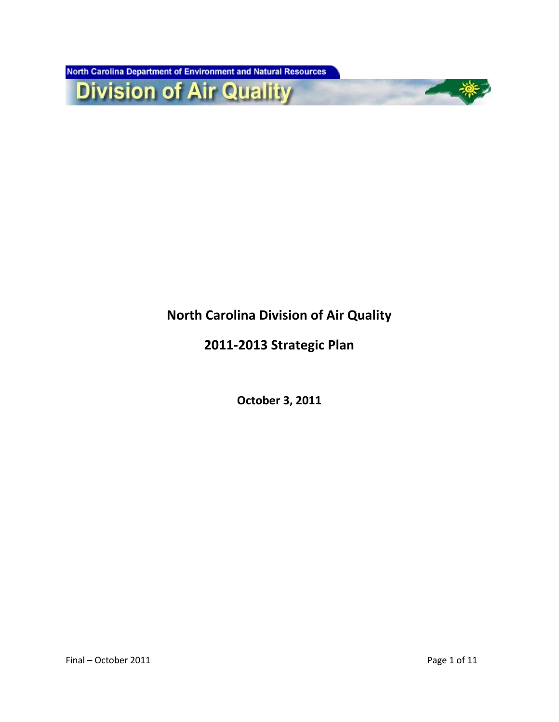North Carolina Department of Environment and Natural Resources

**Division of Air Quality** 

# **North Carolina Division of Air Quality**

## **2011-2013 Strategic Plan**

**October 3, 2011**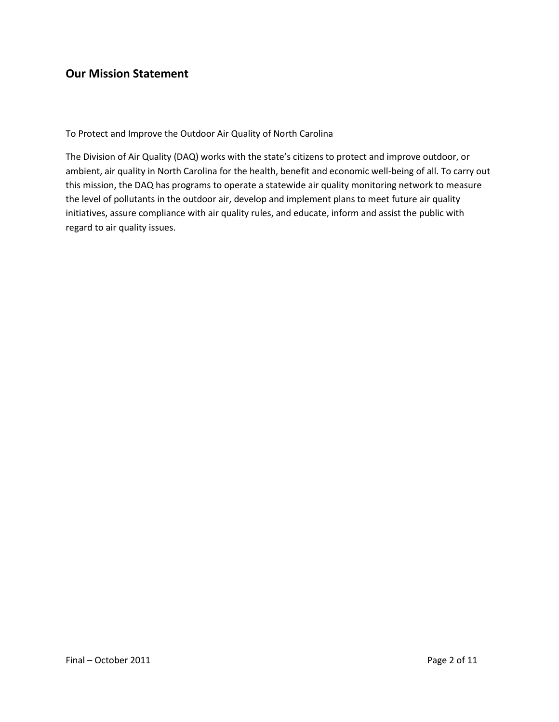### **Our Mission Statement**

To Protect and Improve the Outdoor Air Quality of North Carolina

The Division of Air Quality (DAQ) works with the state's citizens to protect and improve outdoor, or ambient, air quality in North Carolina for the health, benefit and economic well-being of all. To carry out this mission, the DAQ has programs to operate a statewide air quality monitoring network to measure the level of pollutants in the outdoor air, develop and implement plans to meet future air quality initiatives, assure compliance with air quality rules, and educate, inform and assist the public with regard to air quality issues.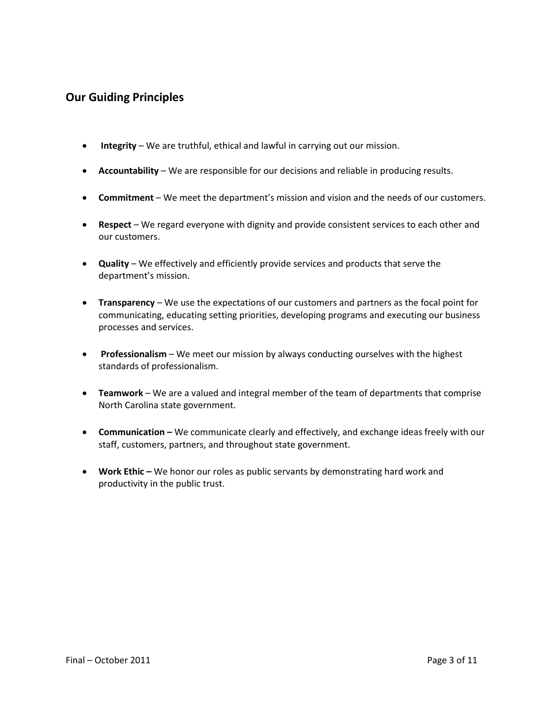### **Our Guiding Principles**

- **Integrity** We are truthful, ethical and lawful in carrying out our mission.
- **Accountability**  We are responsible for our decisions and reliable in producing results.
- **Commitment**  We meet the department's mission and vision and the needs of our customers.
- **Respect**  We regard everyone with dignity and provide consistent services to each other and our customers.
- **Quality**  We effectively and efficiently provide services and products that serve the department's mission.
- **Transparency**  We use the expectations of our customers and partners as the focal point for communicating, educating setting priorities, developing programs and executing our business processes and services.
- **Professionalism** We meet our mission by always conducting ourselves with the highest standards of professionalism.
- **Teamwork**  We are a valued and integral member of the team of departments that comprise North Carolina state government.
- **Communication –** We communicate clearly and effectively, and exchange ideas freely with our staff, customers, partners, and throughout state government.
- **•** Work Ethic We honor our roles as public servants by demonstrating hard work and productivity in the public trust.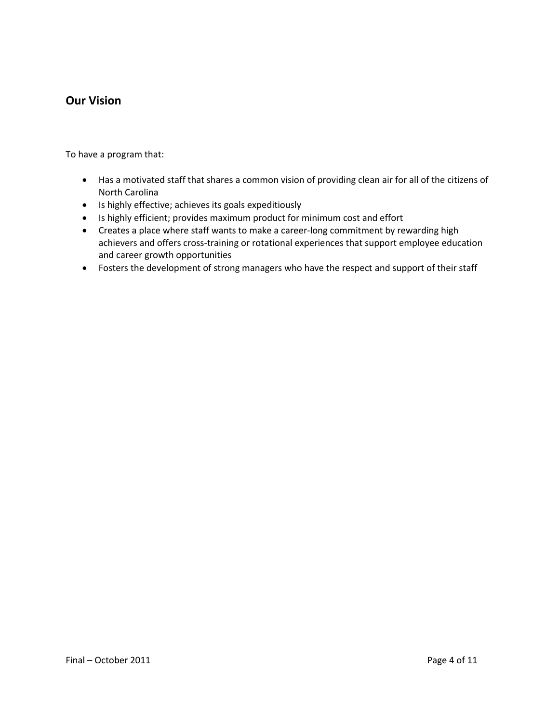#### **Our Vision**

To have a program that:

- Has a motivated staff that shares a common vision of providing clean air for all of the citizens of North Carolina
- Is highly effective; achieves its goals expeditiously
- Is highly efficient; provides maximum product for minimum cost and effort
- Creates a place where staff wants to make a career-long commitment by rewarding high achievers and offers cross-training or rotational experiences that support employee education and career growth opportunities
- Fosters the development of strong managers who have the respect and support of their staff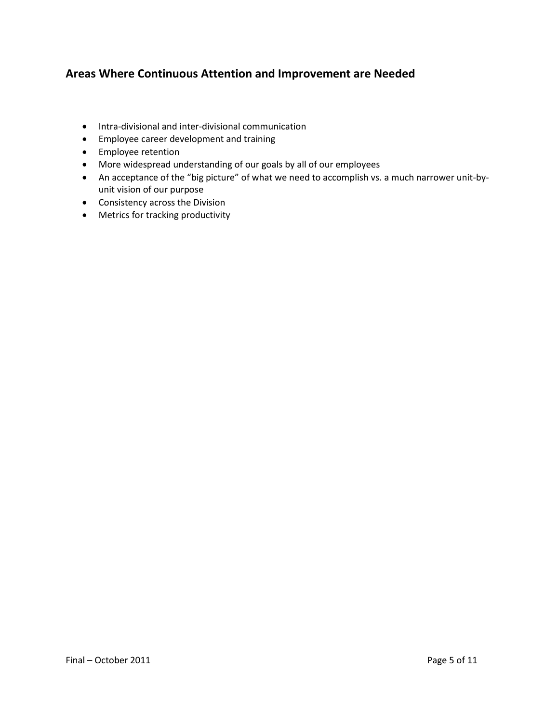### **Areas Where Continuous Attention and Improvement are Needed**

- Intra-divisional and inter-divisional communication
- Employee career development and training
- **•** Employee retention
- More widespread understanding of our goals by all of our employees
- An acceptance of the "big picture" of what we need to accomplish vs. a much narrower unit-byunit vision of our purpose
- Consistency across the Division
- Metrics for tracking productivity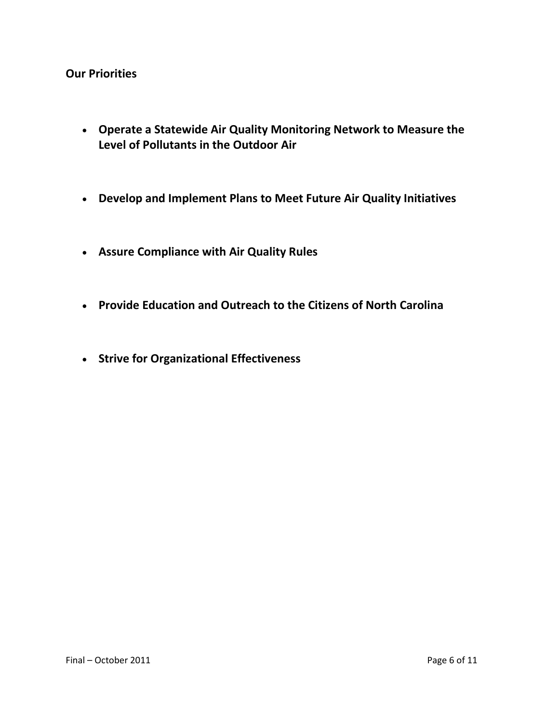#### **Our Priorities**

- **Operate a Statewide Air Quality Monitoring Network to Measure the Level of Pollutants in the Outdoor Air**
- **Develop and Implement Plans to Meet Future Air Quality Initiatives**
- **Assure Compliance with Air Quality Rules**
- **Provide Education and Outreach to the Citizens of North Carolina**
- **Strive for Organizational Effectiveness**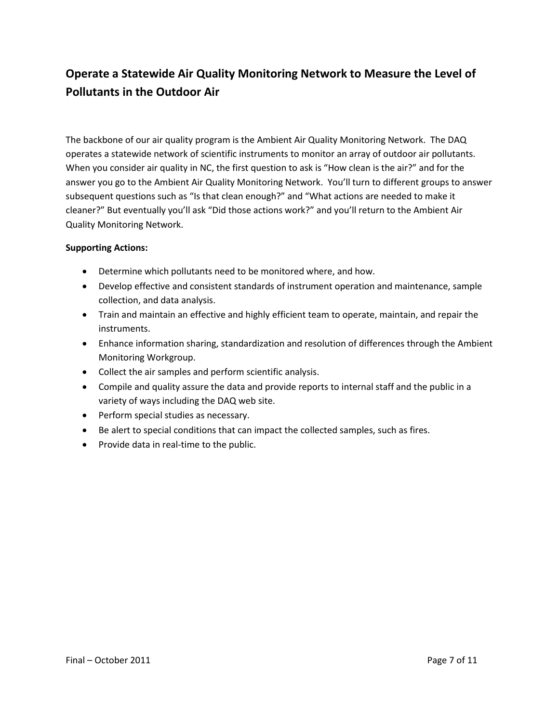## **Operate a Statewide Air Quality Monitoring Network to Measure the Level of Pollutants in the Outdoor Air**

The backbone of our air quality program is the Ambient Air Quality Monitoring Network. The DAQ operates a statewide network of scientific instruments to monitor an array of outdoor air pollutants. When you consider air quality in NC, the first question to ask is "How clean is the air?" and for the answer you go to the Ambient Air Quality Monitoring Network. You'll turn to different groups to answer subsequent questions such as "Is that clean enough?" and "What actions are needed to make it cleaner?" But eventually you'll ask "Did those actions work?" and you'll return to the Ambient Air Quality Monitoring Network.

- Determine which pollutants need to be monitored where, and how.
- Develop effective and consistent standards of instrument operation and maintenance, sample collection, and data analysis.
- Train and maintain an effective and highly efficient team to operate, maintain, and repair the instruments.
- Enhance information sharing, standardization and resolution of differences through the Ambient Monitoring Workgroup.
- Collect the air samples and perform scientific analysis.
- Compile and quality assure the data and provide reports to internal staff and the public in a variety of ways including the DAQ web site.
- Perform special studies as necessary.
- Be alert to special conditions that can impact the collected samples, such as fires.
- Provide data in real-time to the public.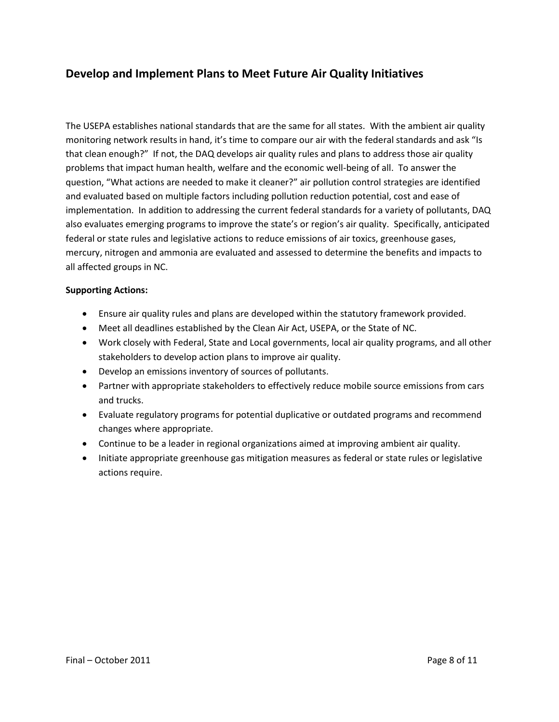### **Develop and Implement Plans to Meet Future Air Quality Initiatives**

The USEPA establishes national standards that are the same for all states. With the ambient air quality monitoring network results in hand, it's time to compare our air with the federal standards and ask "Is that clean enough?" If not, the DAQ develops air quality rules and plans to address those air quality problems that impact human health, welfare and the economic well-being of all. To answer the question, "What actions are needed to make it cleaner?" air pollution control strategies are identified and evaluated based on multiple factors including pollution reduction potential, cost and ease of implementation. In addition to addressing the current federal standards for a variety of pollutants, DAQ also evaluates emerging programs to improve the state's or region's air quality. Specifically, anticipated federal or state rules and legislative actions to reduce emissions of air toxics, greenhouse gases, mercury, nitrogen and ammonia are evaluated and assessed to determine the benefits and impacts to all affected groups in NC.

- Ensure air quality rules and plans are developed within the statutory framework provided.
- Meet all deadlines established by the Clean Air Act, USEPA, or the State of NC.
- Work closely with Federal, State and Local governments, local air quality programs, and all other stakeholders to develop action plans to improve air quality.
- Develop an emissions inventory of sources of pollutants.
- Partner with appropriate stakeholders to effectively reduce mobile source emissions from cars and trucks.
- Evaluate regulatory programs for potential duplicative or outdated programs and recommend changes where appropriate.
- Continue to be a leader in regional organizations aimed at improving ambient air quality.
- Initiate appropriate greenhouse gas mitigation measures as federal or state rules or legislative actions require.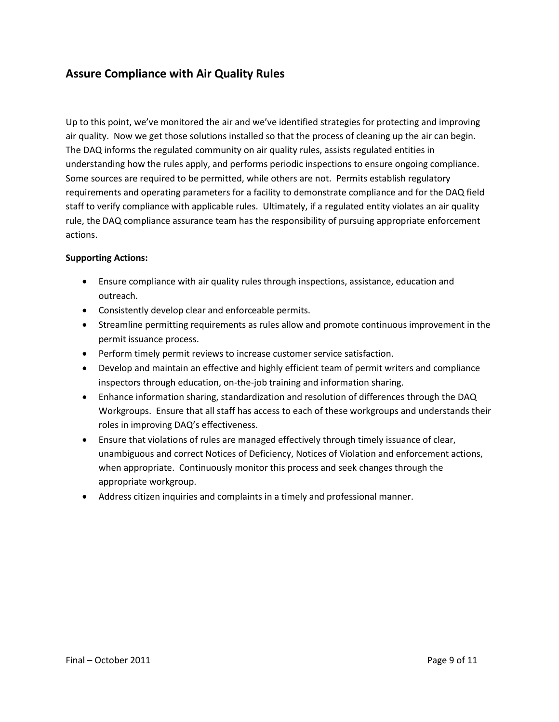### **Assure Compliance with Air Quality Rules**

Up to this point, we've monitored the air and we've identified strategies for protecting and improving air quality. Now we get those solutions installed so that the process of cleaning up the air can begin. The DAQ informs the regulated community on air quality rules, assists regulated entities in understanding how the rules apply, and performs periodic inspections to ensure ongoing compliance. Some sources are required to be permitted, while others are not. Permits establish regulatory requirements and operating parameters for a facility to demonstrate compliance and for the DAQ field staff to verify compliance with applicable rules. Ultimately, if a regulated entity violates an air quality rule, the DAQ compliance assurance team has the responsibility of pursuing appropriate enforcement actions.

- Ensure compliance with air quality rules through inspections, assistance, education and outreach.
- Consistently develop clear and enforceable permits.
- Streamline permitting requirements as rules allow and promote continuous improvement in the permit issuance process.
- Perform timely permit reviews to increase customer service satisfaction.
- Develop and maintain an effective and highly efficient team of permit writers and compliance inspectors through education, on-the-job training and information sharing.
- Enhance information sharing, standardization and resolution of differences through the DAQ Workgroups. Ensure that all staff has access to each of these workgroups and understands their roles in improving DAQ's effectiveness.
- Ensure that violations of rules are managed effectively through timely issuance of clear, unambiguous and correct Notices of Deficiency, Notices of Violation and enforcement actions, when appropriate. Continuously monitor this process and seek changes through the appropriate workgroup.
- Address citizen inquiries and complaints in a timely and professional manner.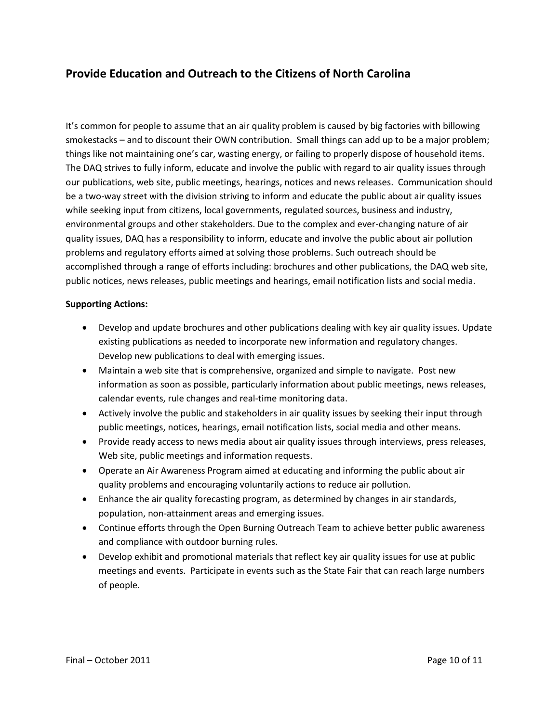### **Provide Education and Outreach to the Citizens of North Carolina**

It's common for people to assume that an air quality problem is caused by big factories with billowing smokestacks – and to discount their OWN contribution. Small things can add up to be a major problem; things like not maintaining one's car, wasting energy, or failing to properly dispose of household items. The DAQ strives to fully inform, educate and involve the public with regard to air quality issues through our publications, web site, public meetings, hearings, notices and news releases. Communication should be a two-way street with the division striving to inform and educate the public about air quality issues while seeking input from citizens, local governments, regulated sources, business and industry, environmental groups and other stakeholders. Due to the complex and ever-changing nature of air quality issues, DAQ has a responsibility to inform, educate and involve the public about air pollution problems and regulatory efforts aimed at solving those problems. Such outreach should be accomplished through a range of efforts including: brochures and other publications, the DAQ web site, public notices, news releases, public meetings and hearings, email notification lists and social media.

- Develop and update brochures and other publications dealing with key air quality issues. Update existing publications as needed to incorporate new information and regulatory changes. Develop new publications to deal with emerging issues.
- Maintain a web site that is comprehensive, organized and simple to navigate. Post new information as soon as possible, particularly information about public meetings, news releases, calendar events, rule changes and real-time monitoring data.
- Actively involve the public and stakeholders in air quality issues by seeking their input through public meetings, notices, hearings, email notification lists, social media and other means.
- Provide ready access to news media about air quality issues through interviews, press releases, Web site, public meetings and information requests.
- Operate an Air Awareness Program aimed at educating and informing the public about air quality problems and encouraging voluntarily actions to reduce air pollution.
- Enhance the air quality forecasting program, as determined by changes in air standards, population, non-attainment areas and emerging issues.
- Continue efforts through the Open Burning Outreach Team to achieve better public awareness and compliance with outdoor burning rules.
- Develop exhibit and promotional materials that reflect key air quality issues for use at public meetings and events. Participate in events such as the State Fair that can reach large numbers of people.